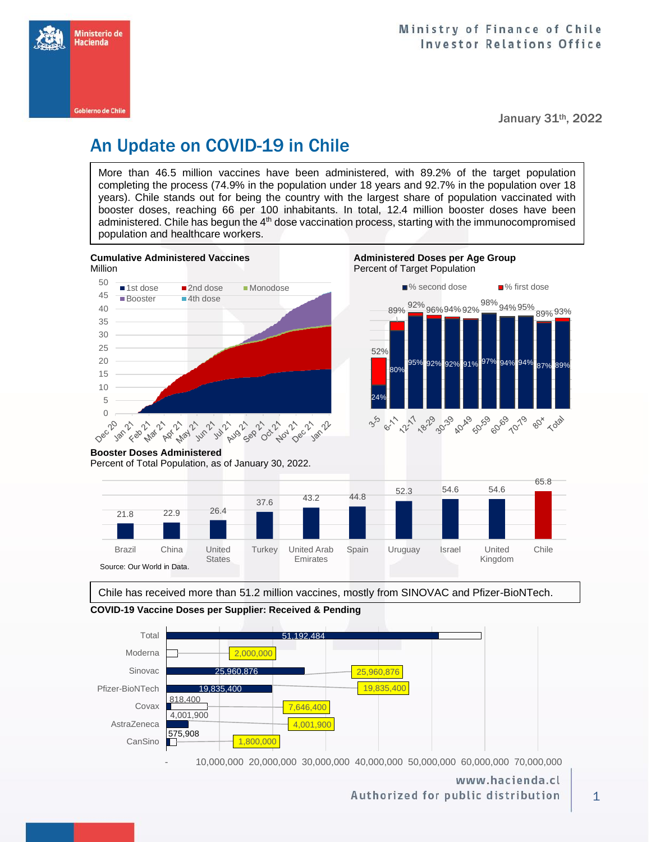

January 31th, 2022

# An Update on COVID-19 in Chile

More than 46.5 million vaccines have been administered, with 89.2% of the target population completing the process (74.9% in the population under 18 years and 92.7% in the population over 18 years). Chile stands out for being the country with the largest share of population vaccinated with booster doses, reaching 66 per 100 inhabitants. In total, 12.4 million booster doses have been administered. Chile has begun the 4<sup>th</sup> dose vaccination process, starting with the immunocompromised population and healthcare workers.







### **Booster Doses Administered**

Percent of Total Population, as of January 30, 2022.



Chile has received more than 51.2 million vaccines, mostly from SINOVAC and Pfizer-BioNTech.

**COVID-19 Vaccine Doses per Supplier: Received & Pending**



- 10,000,000 20,000,000 30,000,000 40,000,000 50,000,000 60,000,000 70,000,000

www.hacienda.cl Authorized for public distribution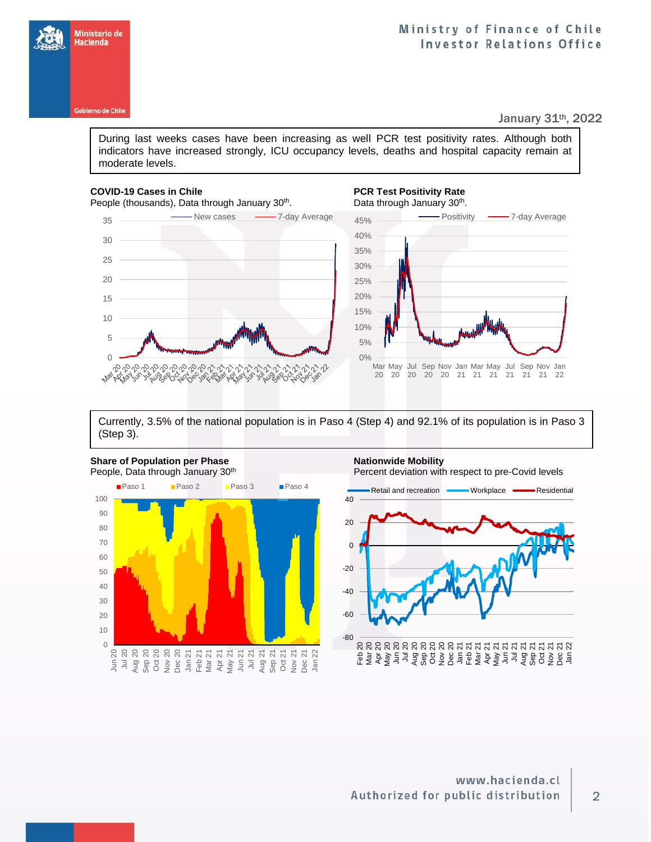

# Ministry of Finance of Chile **Investor Relations Office**

January 31th, 2022

During last weeks cases have been increasing as well PCR test positivity rates. Although both indicators have increased strongly, ICU occupancy levels, deaths and hospital capacity remain at moderate levels.

### **COVID-19 Cases in Chile PCR Test Positivity Rate**

0

Nar

People (thousands), Data through January 30<sup>th</sup>.

 $\Omega$  $\gamma$ 

1998001078

35 **New cases 35 New cases 1** 



Currently, 3.5% of the national population is in Paso 4 (Step 4) and 92.1% of its population is in Paso 3 (Step 3).